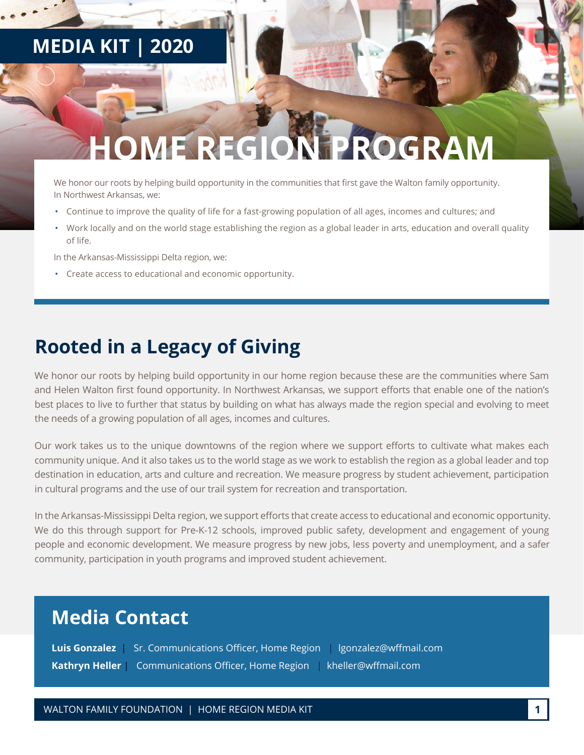## **MEDIA KIT | 2020**

# *HEREGION PROGRAM*

We honor our roots by helping build opportunity in the communities that first gave the Walton family opportunity. In Northwest Arkansas, we:

- Continue to improve the quality of life for a fast-growing population of all ages, incomes and cultures; and
- Work locally and on the world stage establishing the region as a global leader in arts, education and overall quality of life.

In the Arkansas-Mississippi Delta region, we:

• Create access to educational and economic opportunity.

### **Rooted in a Legacy of Giving**

We honor our roots by helping build opportunity in our home region because these are the communities where Sam and Helen Walton first found opportunity. In Northwest Arkansas, we support efforts that enable one of the nation's best places to live to further that status by building on what has always made the region special and evolving to meet the needs of a growing population of all ages, incomes and cultures.

Our work takes us to the unique downtowns of the region where we support efforts to cultivate what makes each community unique. And it also takes us to the world stage as we work to establish the region as a global leader and top destination in education, arts and culture and recreation. We measure progress by student achievement, participation in cultural programs and the use of our trail system for recreation and transportation.

In the Arkansas-Mississippi Delta region, we support efforts that create access to educational and economic opportunity. We do this through support for Pre-K-12 schools, improved public safety, development and engagement of young people and economic development. We measure progress by new jobs, less poverty and unemployment, and a safer community, participation in youth programs and improved student achievement.

### **Media Contact**

**Luis Gonzalez** Sr. Communications Officer, Home Region | lgonzalez@wffmail.com **Kathryn Heller |** Communications Officer, Home Region | kheller@wffmail.com

WALTON FAMILY FOUNDATION | HOME REGION MEDIA KIT **1**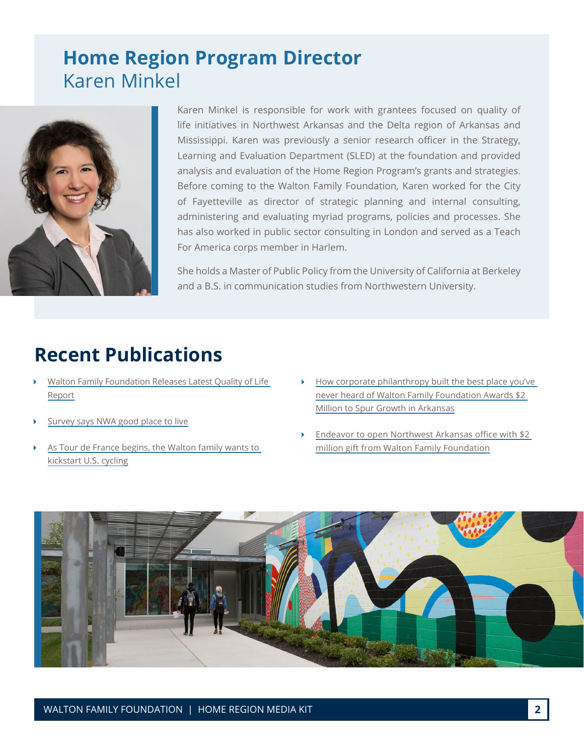## **Home Region Program Director**  Karen Minkel



Karen Minkel is responsible for work with grantees focused on quality of life initiatives in Northwest Arkansas and the Delta region of Arkansas and Mississippi. Karen was previously a senior research officer in the Strategy, Learning and Evaluation Department (SLED) at the foundation and provided analysis and evaluation of the Home Region Program's grants and strategies. Before coming to the Walton Family Foundation, Karen worked for the City of Fayetteville as director of strategic planning and internal consulting, administering and evaluating myriad programs, policies and processes. She has also worked in public sector consulting in London and served as a Teach For America corps member in Harlem.

She holds a Master of Public Policy from the University of California at Berkeley and a B.S. in communication studies from Northwestern University.

## **Recent Publications**

- [Walton Family Foundation Releases Latest Quality of Life](https://www.kuaf.com/post/walton-family-foundation-releases-latest-quality-life-report#stream/0)  [Report](https://www.kuaf.com/post/walton-family-foundation-releases-latest-quality-life-report#stream/0)
- [Survey says NWA good place to live](https://www.nwaonline.com/news/2019/sep/12/survey-says-nwa-good-place-to-live-2019/)
- [As Tour de France begins, the Walton family wants to](https://www.washingtonpost.com/sports/as-tour-de-france-begins-the-walton-family-once-to-kick-start-us-cycling/2019/07/03/fdde5f2a-9c12-11e9-85d6-5211733f92c7_story.html?noredirect=on)  [kickstart U.S. cycling](https://www.washingtonpost.com/sports/as-tour-de-france-begins-the-walton-family-once-to-kick-start-us-cycling/2019/07/03/fdde5f2a-9c12-11e9-85d6-5211733f92c7_story.html?noredirect=on)
- [How corporate philanthropy built the best place you've](https://www.washingtonexaminer.com/opinion/how-corporate-philanthropy-built-the-best-place-youve-never-heard-of)  [never heard of Walton Family Foundation Awards \\$2](https://www.washingtonexaminer.com/opinion/how-corporate-philanthropy-built-the-best-place-youve-never-heard-of)  [Million to Spur Growth in Arkansas](https://www.washingtonexaminer.com/opinion/how-corporate-philanthropy-built-the-best-place-youve-never-heard-of)
- [Endeavor to open Northwest Arkansas office with \\$2](https://talkbusiness.net/2019/03/endeavor-to-open-northwest-arkansas-office-with-2-million-gift-from-walton-family-foundation/)  [million gift from Walton Family Foundation](https://talkbusiness.net/2019/03/endeavor-to-open-northwest-arkansas-office-with-2-million-gift-from-walton-family-foundation/)

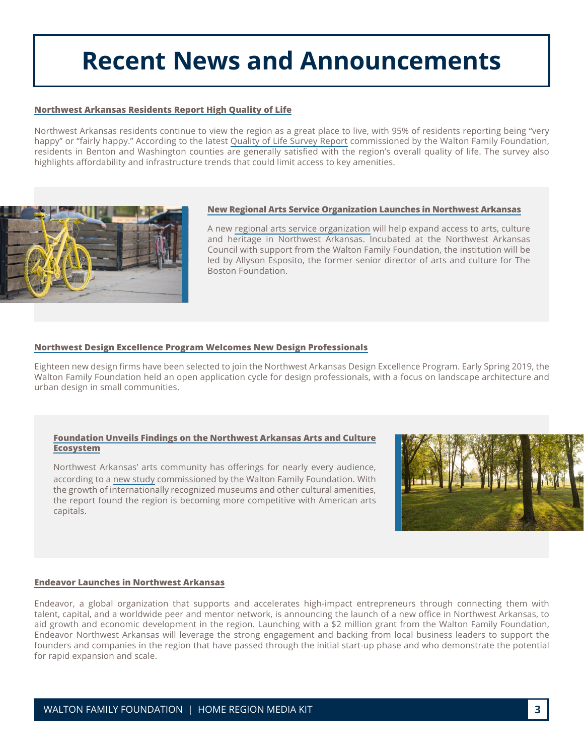## **Recent News and Announcements**

#### **[Northwest Arkansas Residents Report High Quality of Life](https://www.waltonfamilyfoundation.org/about-us/newsroom/northwest-arkansas-residents-report-high-quality-of-life)**

Northwest Arkansas residents continue to view the region as a great place to live, with 95% of residents reporting being "very happy" or "fairly happy." According to the latest [Quality of Life Survey Report](https://8ce82b94a8c4fdc3ea6d-b1d233e3bc3cb10858bea65ff05e18f2.ssl.cf2.rackcdn.com/9b/68/86c456534792aafec9052e465082/qol2018-fullreport-9.12.19.FINAL.pdf) commissioned by the Walton Family Foundation, residents in Benton and Washington counties are generally satisfied with the region's overall quality of life. The survey also highlights affordability and infrastructure trends that could limit access to key amenities.



#### **[New Regional Arts Service Organization Launches in Northwest Arkansas](https://www.waltonfamilyfoundation.org/about-us/newsroom/new-regional-arts-service-organization-launches-in-northwest-arkansas)**

A new [regional arts service organization](https://www.nwacouncil.org/arts-organization) will help expand access to arts, culture and heritage in Northwest Arkansas. Incubated at the Northwest Arkansas Council with support from the Walton Family Foundation, the institution will be led by Allyson Esposito, the former senior director of arts and culture for The Boston Foundation.

#### **[Northwest Design Excellence Program Welcomes New Design Professionals](https://www.waltonfamilyfoundation.org/about-us/newsroom/northwest-design-excellence-program-welcomes-new-design-professionals)**

Eighteen new design firms have been selected to join the Northwest Arkansas Design Excellence Program. Early Spring 2019, the Walton Family Foundation held an open application cycle for design professionals, with a focus on landscape architecture and urban design in small communities.

#### **[Foundation Unveils Findings on the Northwest Arkansas Arts and Culture](https://www.waltonfamilyfoundation.org/about-us/newsroom/foundation-unveils-findings-on-the-northwest-arkansas-arts-and-culture-ecosystem) [Ecosystem](https://www.waltonfamilyfoundation.org/about-us/newsroom/foundation-unveils-findings-on-the-northwest-arkansas-arts-and-culture-ecosystem)**

Northwest Arkansas' arts community has offerings for nearly every audience, according to a [new study](https://www.waltonfamilyfoundation.org/learning/arts-vibrancy-in-northwest-arkansas) commissioned by the Walton Family Foundation. With the growth of internationally recognized museums and other cultural amenities, the report found the region is becoming more competitive with American arts capitals.



#### **[Endeavor Launches in Northwest Arkansas](https://www.waltonfamilyfoundation.org/about-us/newsroom/endeavor-launches-in-northwest-arkansas-to-support-high-impact-entrepreneurs-and-drive-local-economic-development)**

Endeavor, a global organization that supports and accelerates high-impact entrepreneurs through connecting them with talent, capital, and a worldwide peer and mentor network, is announcing the launch of a new office in Northwest Arkansas, to aid growth and economic development in the region. Launching with a \$2 million grant from the Walton Family Foundation, Endeavor Northwest Arkansas will leverage the strong engagement and backing from local business leaders to support the founders and companies in the region that have passed through the initial start-up phase and who demonstrate the potential for rapid expansion and scale.